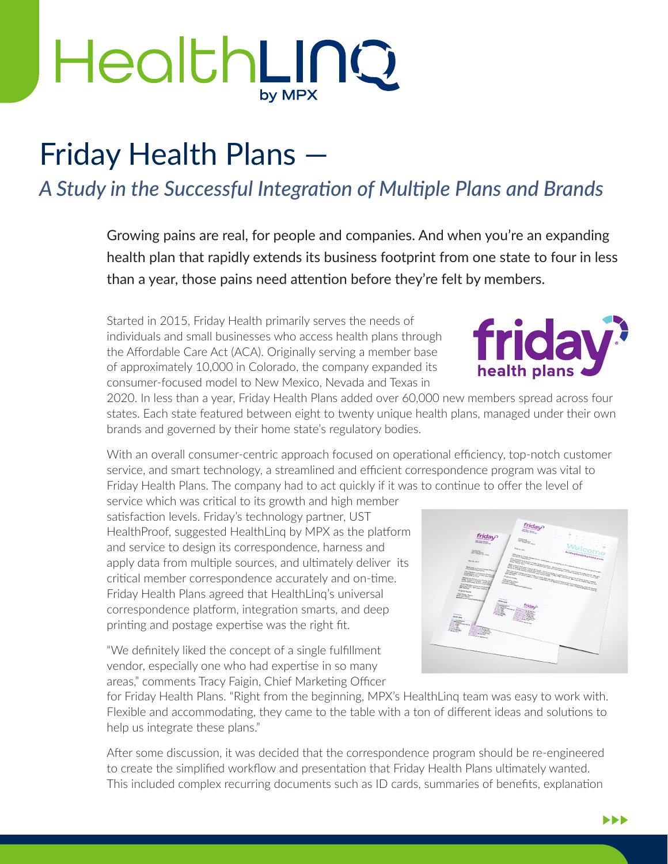## HealthLINQ by MPX

## Friday Health Plans —

## *A Study in the Successful Integration of Multiple Plans and Brands*

Growing pains are real, for people and companies. And when you're an expanding health plan that rapidly extends its business footprint from one state to four in less than a year, those pains need attention before they're felt by members.

Started in 2015, Friday Health primarily serves the needs of individuals and small businesses who access health plans through the Affordable Care Act (ACA). Originally serving a member base of approximately 10,000 in Colorado, the company expanded its consumer-focused model to New Mexico, Nevada and Texas in

2020. In less than a year, Friday Health Plans added over 60,000 new members spread across four states. Each state featured between eight to twenty unique health plans, managed under their own brands and governed by their home state's regulatory bodies.

With an overall consumer-centric approach focused on operational efficiency, top-notch customer service, and smart technology, a streamlined and efficient correspondence program was vital to Friday Health Plans. The company had to act quickly if it was to continue to offer the level of

service which was critical to its growth and high member satisfaction levels. Friday's technology partner, UST HealthProof, suggested HealthLinq by MPX as the platform and service to design its correspondence, harness and apply data from multiple sources, and ultimately deliver its critical member correspondence accurately and on-time. Friday Health Plans agreed that HealthLinq's universal correspondence platform, integration smarts, and deep printing and postage expertise was the right fit.

"We definitely liked the concept of a single fulfillment vendor, especially one who had expertise in so many areas," comments Tracy Faigin, Chief Marketing Officer



for Friday Health Plans. "Right from the beginning, MPX's HealthLinq team was easy to work with. Flexible and accommodating, they came to the table with a ton of different ideas and solutions to help us integrate these plans."

After some discussion, it was decided that the correspondence program should be re-engineered to create the simplified workflow and presentation that Friday Health Plans ultimately wanted. This included complex recurring documents such as ID cards, summaries of benefits, explanation

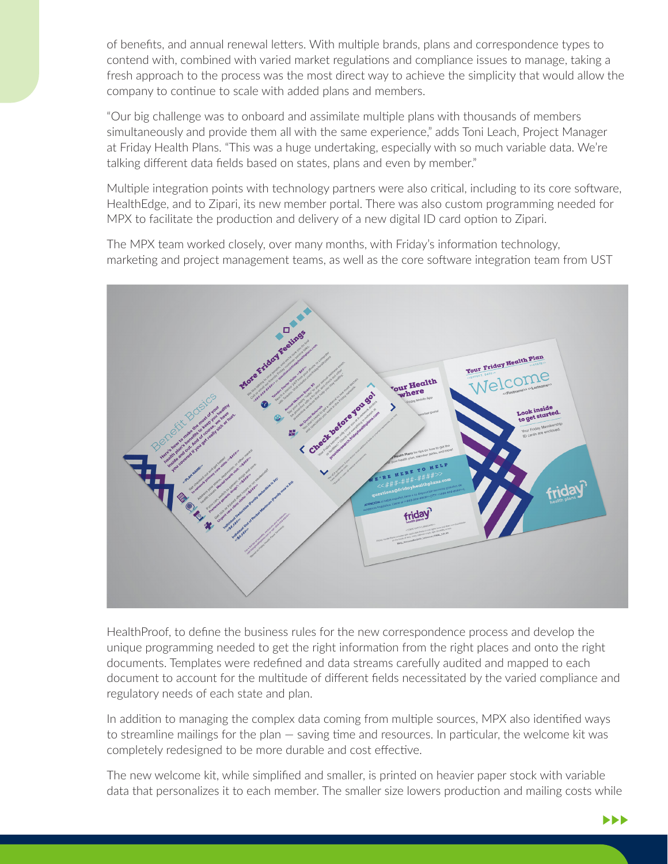of benefits, and annual renewal letters. With multiple brands, plans and correspondence types to contend with, combined with varied market regulations and compliance issues to manage, taking a fresh approach to the process was the most direct way to achieve the simplicity that would allow the company to continue to scale with added plans and members.

"Our big challenge was to onboard and assimilate multiple plans with thousands of members simultaneously and provide them all with the same experience," adds Toni Leach, Project Manager at Friday Health Plans. "This was a huge undertaking, especially with so much variable data. We're talking different data fields based on states, plans and even by member."

Multiple integration points with technology partners were also critical, including to its core software, HealthEdge, and to Zipari, its new member portal. There was also custom programming needed for MPX to facilitate the production and delivery of a new digital ID card option to Zipari.

The MPX team worked closely, over many months, with Friday's information technology, marketing and project management teams, as well as the core software integration team from UST



HealthProof, to define the business rules for the new correspondence process and develop the unique programming needed to get the right information from the right places and onto the right documents. Templates were redefined and data streams carefully audited and mapped to each document to account for the multitude of different fields necessitated by the varied compliance and regulatory needs of each state and plan.

In addition to managing the complex data coming from multiple sources, MPX also identified ways to streamline mailings for the plan — saving time and resources. In particular, the welcome kit was completely redesigned to be more durable and cost effective.

The new welcome kit, while simplified and smaller, is printed on heavier paper stock with variable data that personalizes it to each member. The smaller size lowers production and mailing costs while

 $\blacktriangleright\blacktriangleright\blacktriangleright$